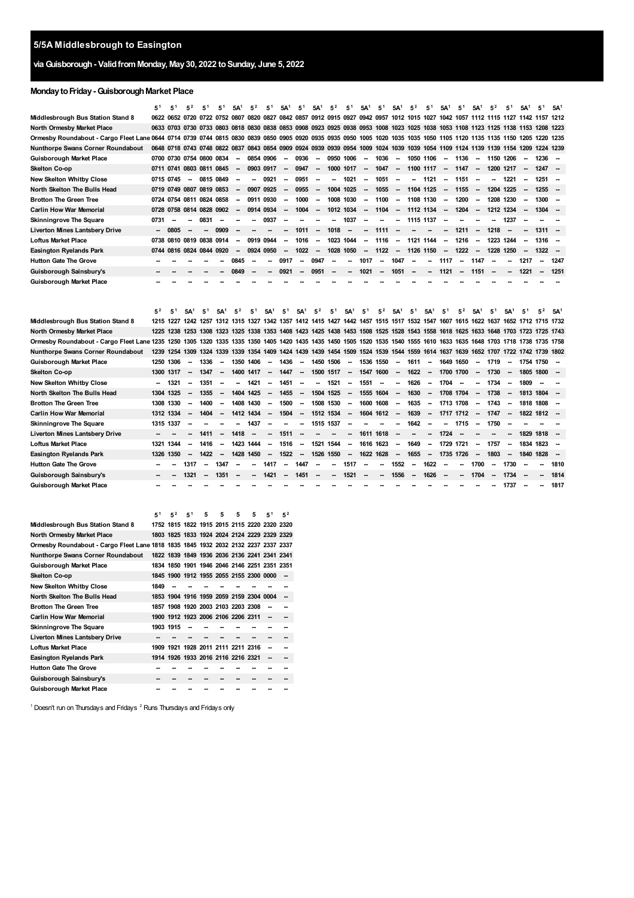# **viaGuisborough- ValidfromMonday, May30, 2022 toSunday, June 5, 2022**

# **MondaytoFriday-GuisboroughMarket Place**

|                                                                                                                                                                         | 5 <sup>1</sup>           | 5 <sup>1</sup>              | $5^2$                                        | 5 <sup>1</sup> | 5,                           | 5A <sup>1</sup> | 5 <sup>2</sup>           | 5 <sup>1</sup>           | 5A <sup>1</sup> | 5 <sup>1</sup>                                                 | 5A <sup>1</sup>          | 5 <sup>2</sup> | 5 <sup>1</sup>           | 5A <sup>1</sup>          | 5 <sup>1</sup> | 5A <sup>1</sup>              | $5^2$                                                                                                                                     | 5'                       | 5A <sup>1</sup>          | 5 <sup>1</sup> | 5A <sup>1</sup>                                      | $5^2$          | 5 <sup>1</sup>           | 5A <sup>1</sup>                            | 5 <sup>1</sup> | 5A <sup>1</sup>          |
|-------------------------------------------------------------------------------------------------------------------------------------------------------------------------|--------------------------|-----------------------------|----------------------------------------------|----------------|------------------------------|-----------------|--------------------------|--------------------------|-----------------|----------------------------------------------------------------|--------------------------|----------------|--------------------------|--------------------------|----------------|------------------------------|-------------------------------------------------------------------------------------------------------------------------------------------|--------------------------|--------------------------|----------------|------------------------------------------------------|----------------|--------------------------|--------------------------------------------|----------------|--------------------------|
| Middlesbrough Bus Station Stand 8                                                                                                                                       |                          |                             |                                              |                |                              |                 |                          |                          |                 |                                                                |                          |                |                          |                          |                |                              | 0622 0652 0720 0722 0752 0807 0820 0827 0842 0857 0912 0915 0927 0942 0957 1012 1015 1027 1042 1057 1112 1115 1127 1142 1157 1212         |                          |                          |                |                                                      |                |                          |                                            |                |                          |
| North Ormesby Market Place                                                                                                                                              |                          | 0633 0703 0730              |                                              |                | 0733 0803 0818               |                 | 0830                     | 0838                     |                 | 0853 0908                                                      |                          |                | 0923 0925 0938 0953 1008 |                          |                | 1023                         | 1025 1038                                                                                                                                 |                          |                          | 1053 1108      |                                                      | 1123 1125 1138 |                          | 1153 1208                                  |                | 1223                     |
| Ormesby Roundabout - Cargo Fleet Lane 0644 0714 0739 0744 0815 0830 0839 0850 0905 0920 0935 0935 0935 1020 1025 1025 1035 1050 1105 1120 1135 1135 1130 1205 1220 1235 |                          |                             |                                              |                |                              |                 |                          |                          |                 |                                                                |                          |                |                          |                          |                |                              |                                                                                                                                           |                          |                          |                |                                                      |                |                          |                                            |                |                          |
| Nunthorpe Swans Corner Roundabout                                                                                                                                       |                          |                             |                                              |                |                              |                 |                          |                          |                 |                                                                |                          |                |                          |                          |                |                              | 0648 0718 0743 0748 0822 0837 0843 0854 0909 0924 0939 0939 0954 1009 1024 1039 1039 1054 1109 1124 1139 1139 1154 1209 1224 1239         |                          |                          |                |                                                      |                |                          |                                            |                |                          |
| Guisborough Market Place                                                                                                                                                |                          |                             | 0700 0730 0754 0800 0834                     |                |                              |                 | 0854 0906                |                          |                 | 0936                                                           | -                        | 0950           | 1006                     |                          | 1036           | -                            | 1050 1106                                                                                                                                 |                          |                          | 1136           |                                                      | 1150 1206      |                          | $\blacksquare$                             | 1236           |                          |
| Skelton Co-op                                                                                                                                                           |                          | 0711 0741                   | 0803 0811 0845                               |                |                              |                 | 0903                     | 0917                     | -               | 0947                                                           | $\overline{\phantom{a}}$ | 1000 1017      |                          | $\overline{\phantom{a}}$ | 1047           | $\overline{\phantom{a}}$     | 1100 1117                                                                                                                                 |                          | $\overline{\phantom{a}}$ | 1147           | --                                                   | 1200 1217      |                          | $\overline{\phantom{a}}$                   | 1247           | $\overline{\phantom{a}}$ |
| New Skelton Whitby Close                                                                                                                                                |                          | 0715 0745                   | --                                           | 0815 0849      |                              |                 | -                        | 0921                     | -               | 0951                                                           | $\overline{\phantom{a}}$ | -              | 1021                     | -                        | 1051           | -                            | --                                                                                                                                        | 1121                     | $\overline{\phantom{a}}$ | 1151           |                                                      | −              | 1221                     | $\overline{\phantom{a}}$                   | 1251           |                          |
| North Skelton The Bulls Head                                                                                                                                            |                          |                             | 0719 0749 0807 0819 0853                     |                |                              |                 | 0907                     | 0925                     | -               | 0955                                                           |                          | 1004 1025      |                          | $\overline{\phantom{a}}$ | 1055           | $\qquad \qquad \blacksquare$ | 1104 1125                                                                                                                                 |                          | $\overline{\phantom{a}}$ | 1155           | $\overline{\phantom{a}}$                             | 1204 1225      |                          | $\overline{\phantom{a}}$                   | 1255           |                          |
| <b>Brotton The Green Tree</b>                                                                                                                                           |                          |                             | 0724 0754 0811 0824 0858                     |                |                              | -               | 0911 0930                |                          | -               | 1000                                                           | $\overline{\phantom{a}}$ | 1008 1030      |                          | -                        | 1100           | $\overline{\phantom{a}}$     | 1108 1130                                                                                                                                 |                          | $\overline{\phantom{a}}$ | 1200           | --                                                   | 1208 1230      |                          | $\overline{\phantom{a}}$                   | 1300           | -                        |
| Carlin How War Memorial                                                                                                                                                 |                          |                             | 0728 0758 0814 0828 0902                     |                |                              |                 | 0914                     | 0934                     |                 | 1004                                                           | $\overline{\phantom{a}}$ | 1012 1034      |                          |                          | 1104           | $\overline{\phantom{a}}$     | 1112 1134                                                                                                                                 |                          | $\overline{\phantom{a}}$ | 1204           |                                                      | 1212 1234      |                          |                                            | 1304           |                          |
| Skinningrove The Square                                                                                                                                                 | 0731                     |                             |                                              | 0831           |                              |                 |                          | 0937                     |                 |                                                                |                          |                | 1037                     |                          |                |                              | 1115 1137                                                                                                                                 |                          |                          |                |                                                      |                | 1237                     |                                            |                |                          |
| Liverton Mines Lantsbery Drive                                                                                                                                          |                          | 0805                        | ۰.                                           | --             | 0909                         |                 | -                        |                          |                 | 1011                                                           | $\overline{\phantom{a}}$ | 1018           | --                       |                          | 1111           |                              |                                                                                                                                           |                          | --                       | 1211           |                                                      | 1218           |                          | -                                          | 1311           |                          |
| Loftus Market Place                                                                                                                                                     |                          |                             | 0738 0810 0819 0838 0914                     |                |                              | -               | 0919 0944                |                          | -               | 1016                                                           | $\overline{\phantom{a}}$ | 1023 1044      |                          | $\overline{\phantom{a}}$ | 1116           | $\overline{\phantom{a}}$     | 1121 1144                                                                                                                                 |                          | $\overline{\phantom{a}}$ | 1216           | -                                                    | 1223 1244      |                          | $\overline{\phantom{a}}$                   | 1316           | $\sim$                   |
| Easington Ryelands Park                                                                                                                                                 | 0744                     |                             | 0816 0824 0844 0920                          |                |                              | -               | 0924 0950                |                          | -               | 1022                                                           | $\overline{\phantom{a}}$ | 1028 1050      |                          | $\overline{\phantom{a}}$ | 1122           | $\overline{\phantom{a}}$     | 1126 1150                                                                                                                                 |                          | $\sim$                   | 1222           |                                                      | 1228 1250      |                          | $\overline{\phantom{a}}$                   | 1322           | --                       |
| Hutton Gate The Grove                                                                                                                                                   |                          |                             |                                              |                |                              | 0845            |                          |                          | 0917            |                                                                | 0947                     |                |                          | 1017                     |                | 1047                         |                                                                                                                                           |                          | 1117                     |                | 1147                                                 |                |                          | 1217                                       |                | 1247                     |
| Guisborough Sainsbury's                                                                                                                                                 |                          |                             |                                              |                |                              | 0849            |                          |                          | 0921            |                                                                | 0951                     |                |                          | 1021                     |                | 1051                         |                                                                                                                                           |                          | 1121                     | --             | 1151                                                 |                |                          | 1221                                       |                | 1251                     |
| Guisborough Market Place                                                                                                                                                |                          |                             |                                              |                |                              |                 |                          |                          |                 |                                                                |                          |                |                          |                          |                |                              |                                                                                                                                           |                          |                          |                |                                                      |                |                          |                                            |                |                          |
|                                                                                                                                                                         | 5 <sup>2</sup>           |                             |                                              |                |                              |                 |                          |                          |                 |                                                                |                          |                |                          |                          |                |                              |                                                                                                                                           |                          |                          |                |                                                      |                |                          |                                            |                |                          |
| Middlesbrough Bus Station Stand 8                                                                                                                                       |                          | 5 <sup>1</sup><br>1215 1227 | 5A <sup>1</sup>                              | 5 <sup>1</sup> | 5A <sup>1</sup>              | 5 <sup>2</sup>  | 51                       | 5A <sup>1</sup>          | 5 <sup>1</sup>  | 5A <sup>1</sup>                                                | 5 <sup>2</sup>           | 5 <sup>1</sup> | 5A <sup>1</sup>          | 5 <sup>1</sup>           | 5 <sup>2</sup> | 5A <sup>1</sup>              | 5 <sup>1</sup><br>1242 1257 1312 1315 1327 1342 1357 1412 1415 1427 1442 1457 1515 1517 1532 1547 1607 1615 1622 1637 1652 1712 1715 1732 | 5A <sup>1</sup>          | 5 <sup>1</sup>           | $5^2$          | 5A <sup>1</sup>                                      | 5 <sup>1</sup> | 5A <sup>1</sup>          | 5 <sup>1</sup>                             | $5^2$          | 5A <sup>1</sup>          |
| North Ormesby Market Place                                                                                                                                              |                          |                             | 1225 1238 1253 1308 1323 1325 1338           |                |                              |                 |                          |                          |                 |                                                                |                          |                |                          |                          |                |                              | 1353 1408 1423 1425 1438 1453 1508 1525 1528 1543 1558 1618 1625 1633 1648 1703 1723 1725 1743                                            |                          |                          |                |                                                      |                |                          |                                            |                |                          |
|                                                                                                                                                                         |                          |                             |                                              |                |                              |                 |                          |                          |                 |                                                                |                          |                |                          |                          |                |                              |                                                                                                                                           |                          |                          |                |                                                      |                |                          |                                            |                |                          |
| Ormesby Roundabout - Cargo Fleet Lane 1235 1250 1305 1320 1335 1335 1350 1405 1420 1425 1435 1450 1505 1520 1535 1540 1555 1610 1633 1635 1648 1703 1718 1738 1735 1758 |                          |                             |                                              |                |                              |                 |                          |                          |                 |                                                                |                          |                |                          |                          |                |                              | 1544 1559 1614 1637                                                                                                                       |                          |                          |                |                                                      |                |                          |                                            |                |                          |
| Nunthorpe Swans Corner Roundabout                                                                                                                                       |                          | 1239 1254 1309              |                                              | 1324 1339      | --                           | 1339 1354       |                          | 1409                     | 1436            | 1424 1439 1439 1454 1509 1524 1539<br>$\overline{\phantom{a}}$ |                          |                | -                        | 1536 1550                |                | -                            |                                                                                                                                           | --                       | 1649 1650                | 1639           |                                                      |                |                          | 1652 1707 1722 1742 1739 1802<br>1754 1750 |                | -                        |
| Guisborough Market Place                                                                                                                                                |                          | 1250 1306<br>1300 1317      | $\overline{\phantom{a}}$                     | 1336<br>1347   | $\overline{\phantom{a}}$     | 1350<br>1400    | 1406                     | $\overline{\phantom{a}}$ | 1447            | $\overline{\phantom{a}}$                                       | 1450 1506                |                | $\overline{\phantom{a}}$ | 1547                     | 1600           | $\overline{\phantom{a}}$     | 1611<br>1622                                                                                                                              | $\overline{\phantom{a}}$ | 1700                     | 1700           | $\overline{\phantom{a}}$<br>$\overline{\phantom{a}}$ | 1719<br>1730   | $\overline{\phantom{a}}$ | 1805 1800                                  |                |                          |
| Skelton Co-op                                                                                                                                                           |                          |                             |                                              |                |                              |                 | 1417                     |                          |                 |                                                                | 1500 1517                |                |                          |                          |                |                              |                                                                                                                                           |                          |                          |                |                                                      |                | $\overline{\phantom{a}}$ |                                            |                |                          |
| New Skelton Whitby Close                                                                                                                                                | $\overline{\phantom{a}}$ | 1321                        |                                              | 1351           |                              | -               | 1421                     |                          | 1451            |                                                                | -                        | 1521           |                          | 1551                     |                | -                            | 1626                                                                                                                                      |                          | 1704                     |                |                                                      | 1734           |                          | 1809                                       |                |                          |
| North Skelton The Bulls Head                                                                                                                                            |                          | 1304 1325                   | --                                           | 1355           | --                           | 1404 1425       |                          | -                        | 1455            |                                                                | 1504 1525                |                | $\overline{\phantom{a}}$ | 1555 1604                |                | -                            | 1630                                                                                                                                      | --                       | 1708 1704                |                |                                                      | 1738           |                          | 1813 1804                                  |                |                          |
| Brotton The Green Tree                                                                                                                                                  |                          | 1308 1330                   | --                                           | 1400           | --                           | 1408            | 1430                     | -                        | 1500            | $\overline{\phantom{a}}$                                       | 1508 1530                |                | -                        | 1600                     | 1608           | -                            | 1635                                                                                                                                      | --                       | 1713                     | 1708           | --                                                   | 1743           | $\overline{\phantom{a}}$ | 1818 1808                                  |                |                          |
| Carlin How War Memorial                                                                                                                                                 |                          | 1312 1334                   | $\overline{\phantom{a}}$                     | 1404           | --                           | 1412 1434       |                          |                          | 1504            | $\overline{\phantom{a}}$                                       | 1512 1534                |                | $\overline{\phantom{a}}$ | 1604 1612                |                | -                            | 1639                                                                                                                                      | --                       | 1717 1712                |                | $\overline{\phantom{a}}$                             | 1747           | $\overline{\phantom{a}}$ | 1822 1812                                  |                |                          |
| Skinningrove The Square                                                                                                                                                 |                          | 1315 1337                   |                                              |                | -                            | -               | 1437                     |                          |                 |                                                                | 1515 1537                |                |                          |                          |                | -                            | 1642                                                                                                                                      |                          | --                       | 1715           | --                                                   | 1750           |                          |                                            |                |                          |
| Liverton Mines Lantsbery Drive                                                                                                                                          |                          |                             |                                              | 1411           | $\qquad \qquad \blacksquare$ | 1418            | $\overline{\phantom{a}}$ |                          | 1511            |                                                                |                          |                |                          | 1611                     | 1618           | $\overline{\phantom{a}}$     |                                                                                                                                           | --                       | 1724                     |                |                                                      |                |                          | 1829 1818                                  |                |                          |
| Loftus Market Place                                                                                                                                                     |                          | 1321 1344                   | -                                            | 1416           | $\overline{\phantom{a}}$     | 1423 1444       |                          | -                        | 1516            | $\overline{\phantom{a}}$                                       | 1521 1544                |                | $\overline{\phantom{a}}$ | 1616 1623                |                | $\overline{\phantom{a}}$     | 1649                                                                                                                                      | $\overline{\phantom{a}}$ | 1729 1721                |                | $\overline{\phantom{a}}$                             | 1757           | $\overline{\phantom{a}}$ | 1834 1823                                  |                |                          |
| Easington Ryelands Park                                                                                                                                                 |                          | 1326 1350                   |                                              | 1422           |                              | 1428            | 1450                     |                          | 1522            |                                                                | 1526                     | 1550           |                          | 1622                     | 1628           | -                            | 1655                                                                                                                                      | --                       | 1735                     | 1726           | --                                                   | 1803           |                          | 1840 1828                                  |                |                          |
| Hutton Gate The Grove                                                                                                                                                   | $\sim$                   | --                          | 1317                                         | --             | 1347                         |                 | -                        | 1417                     | -               | 1447                                                           |                          |                | 1517                     | $\overline{\phantom{a}}$ | -              | 1552                         | --                                                                                                                                        | 1622                     | --                       | --             | 1700                                                 | $\sim$         | 1730                     |                                            | -              | 1810                     |
| Guisborough Sainsbury's                                                                                                                                                 |                          |                             | 1321                                         |                | 1351                         |                 |                          | 1421                     | -               | 1451                                                           |                          |                | 1521                     |                          |                | 1556                         | --                                                                                                                                        | 1626                     |                          |                | 1704                                                 | --             | 1734                     |                                            |                | 1814                     |
| Guisborough Market Place                                                                                                                                                | 5 <sup>1</sup>           | 5 <sup>2</sup>              | 5                                            | 5              | 5                            | 5               | 5                        | $5^1$                    | 5 <sup>2</sup>  |                                                                |                          |                |                          |                          |                |                              |                                                                                                                                           |                          |                          |                |                                                      |                | 1737                     |                                            |                | 1817                     |
| Middlesbrough Bus Station Stand 8                                                                                                                                       |                          |                             | 1752 1815 1822 1915 2015 2115 2220 2320 2320 |                |                              |                 |                          |                          |                 |                                                                |                          |                |                          |                          |                |                              |                                                                                                                                           |                          |                          |                |                                                      |                |                          |                                            |                |                          |
| North Ormesby Market Place                                                                                                                                              |                          |                             | 1803 1825 1833 1924 2024 2124 2229 2329 2329 |                |                              |                 |                          |                          |                 |                                                                |                          |                |                          |                          |                |                              |                                                                                                                                           |                          |                          |                |                                                      |                |                          |                                            |                |                          |
| Ormesby Roundabout - Cargo Fleet Lane 1818 1835 1845 1932 2032 2132 2237 2337 2337                                                                                      |                          |                             |                                              |                |                              |                 |                          |                          |                 |                                                                |                          |                |                          |                          |                |                              |                                                                                                                                           |                          |                          |                |                                                      |                |                          |                                            |                |                          |
| Nunthorpe Swans Corner Roundabout                                                                                                                                       |                          |                             | 1822 1839 1849 1936 2036 2136 2241 2341 2341 |                |                              |                 |                          |                          |                 |                                                                |                          |                |                          |                          |                |                              |                                                                                                                                           |                          |                          |                |                                                      |                |                          |                                            |                |                          |
| Guisborough Market Place                                                                                                                                                |                          |                             | 1834 1850 1901 1946 2046 2146 2251 2351 2351 |                |                              |                 |                          |                          |                 |                                                                |                          |                |                          |                          |                |                              |                                                                                                                                           |                          |                          |                |                                                      |                |                          |                                            |                |                          |
| <b>Skelton Co-op</b>                                                                                                                                                    |                          |                             | 1845 1900 1912 1955 2055 2155 2300 0000      |                |                              |                 |                          |                          |                 |                                                                |                          |                |                          |                          |                |                              |                                                                                                                                           |                          |                          |                |                                                      |                |                          |                                            |                |                          |
| New Skelton Whitby Close                                                                                                                                                | 1849                     | $\overline{\phantom{a}}$    | -                                            |                | -                            |                 |                          |                          |                 |                                                                |                          |                |                          |                          |                |                              |                                                                                                                                           |                          |                          |                |                                                      |                |                          |                                            |                |                          |
| North Skelton The Bulls Head                                                                                                                                            |                          |                             | 1853 1904 1916 1959 2059 2159 2304 0004      |                |                              |                 |                          |                          |                 |                                                                |                          |                |                          |                          |                |                              |                                                                                                                                           |                          |                          |                |                                                      |                |                          |                                            |                |                          |
| Brotton The Green Tree                                                                                                                                                  |                          |                             | 1857 1908 1920 2003 2103 2203 2308           |                |                              |                 |                          |                          |                 |                                                                |                          |                |                          |                          |                |                              |                                                                                                                                           |                          |                          |                |                                                      |                |                          |                                            |                |                          |
| Carlin How War Memorial                                                                                                                                                 |                          |                             | 1900 1912 1923 2006 2106 2206 2311           |                |                              |                 |                          |                          |                 |                                                                |                          |                |                          |                          |                |                              |                                                                                                                                           |                          |                          |                |                                                      |                |                          |                                            |                |                          |
| Skinningrove The Square                                                                                                                                                 |                          | 1903 1915                   |                                              |                |                              |                 |                          |                          |                 |                                                                |                          |                |                          |                          |                |                              |                                                                                                                                           |                          |                          |                |                                                      |                |                          |                                            |                |                          |
| Liverton Mines Lantsbery Drive                                                                                                                                          |                          |                             |                                              |                |                              |                 |                          |                          |                 |                                                                |                          |                |                          |                          |                |                              |                                                                                                                                           |                          |                          |                |                                                      |                |                          |                                            |                |                          |
| Loftus Market Place                                                                                                                                                     |                          |                             | 1909 1921 1928 2011 2111 2211 2316           |                |                              |                 |                          |                          |                 |                                                                |                          |                |                          |                          |                |                              |                                                                                                                                           |                          |                          |                |                                                      |                |                          |                                            |                |                          |
| Easington Ryelands Park                                                                                                                                                 |                          |                             | 1914 1926 1933 2016 2116 2216 2321           |                |                              |                 |                          |                          |                 |                                                                |                          |                |                          |                          |                |                              |                                                                                                                                           |                          |                          |                |                                                      |                |                          |                                            |                |                          |
| <b>Hutton Gate The Grove</b>                                                                                                                                            |                          |                             |                                              |                |                              |                 |                          |                          |                 |                                                                |                          |                |                          |                          |                |                              |                                                                                                                                           |                          |                          |                |                                                      |                |                          |                                            |                |                          |
|                                                                                                                                                                         |                          |                             |                                              |                |                              |                 |                          |                          |                 |                                                                |                          |                |                          |                          |                |                              |                                                                                                                                           |                          |                          |                |                                                      |                |                          |                                            |                |                          |

<span id="page-0-0"></span><sup>1</sup> Doesn't run on Thursdays and Fridays <sup>2</sup> Runs Thursdays and Fridays only

**Guisborough Market Place**

**Guisborough Sainsbury's -- -- -- -- -- -- -- -- --**

<span id="page-0-1"></span>**-- -- -- --**

**-- --**

**-- --**

**--**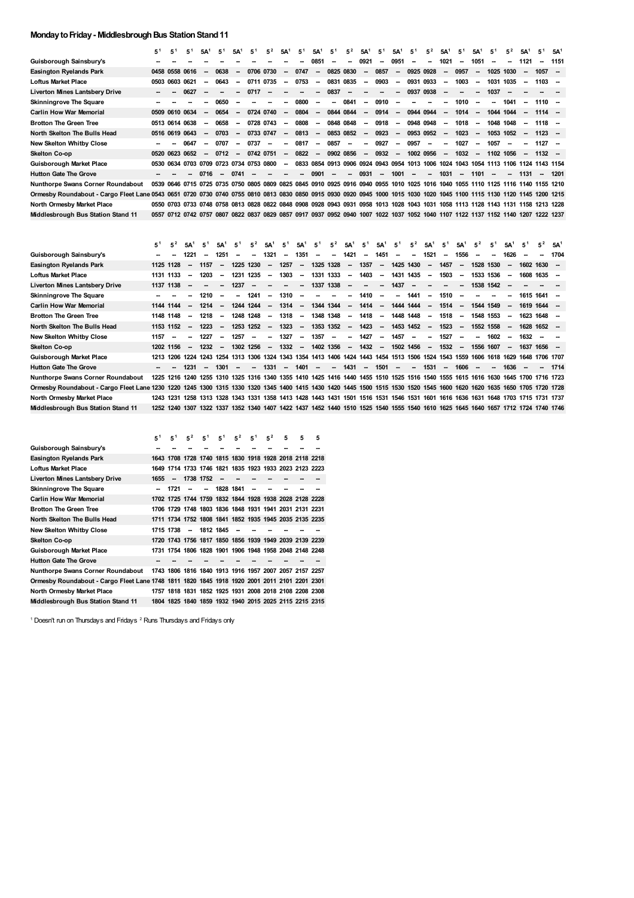## **Monday to Friday - Middlesbrough Bus Station Stand 11**

| Guisborough Sainsbury's<br>0951<br>1051<br>1121<br>0851<br>0921<br>1021<br>1151<br>-<br>$\overline{\phantom{a}}$<br>--<br>⊷<br>0825 0830<br>1057<br><b>Easington Ryelands Park</b><br>0706 0730<br>0747<br>0857<br>0925 0928<br>0957<br>1025<br>0458 0558 0616<br>0638<br>1030<br>-<br>$\overline{\phantom{a}}$<br>--<br>-<br>$\sim$<br>$\sim$<br>$\overline{\phantom{a}}$<br>$\overline{\phantom{a}}$<br>0835<br>0603 0621<br>0643<br>0735<br>0753<br>0831<br>0903<br>0931<br>0933<br>1003<br>1031<br>1035<br>1103<br><b>Loftus Market Place</b><br>0711<br>0503<br>$\overline{\phantom{a}}$<br>$\overline{\phantom{a}}$<br>$\overline{\phantom{a}}$<br>$\sim$<br>$\overline{\phantom{a}}$<br><b>Liverton Mines Lantsbery Drive</b><br>0627<br>0717<br>0837<br>0937<br>0938<br>1037<br>-<br>$\sim$<br>0800<br>0841<br><b>Skinningrove The Square</b><br>0650<br>0910<br>1010<br>1041<br>$1110 -$<br>$\overline{\phantom{a}}$<br>$\sim$<br>--<br>-<br>-<br>-<br>$\overline{\phantom{a}}$<br><b>Carlin How War Memorial</b><br>0724 0740<br>0804<br>0844 0844<br>0914<br>1014<br>0509 0610 0634<br>0654<br>0944 0944<br>1044 1044<br>$1114 -$<br>$\sim$<br>$\sim$<br>$\sim$<br>$\sim$<br>$\overline{\phantom{a}}$<br>$\sim$<br>$\sim$<br>--<br>$\overline{\phantom{a}}$<br>0728 0743<br>0808<br>0848 0848<br>0918<br>0948 0948<br><b>Brotton The Green Tree</b><br>0513 0614 0638<br>0658<br>1018<br>1048 1048<br>$1118 -$<br>$\sim$<br>$\overline{\phantom{a}}$<br>$\sim$<br>$\overline{\phantom{a}}$<br>$\sim$<br>$\overline{\phantom{a}}$<br>$\sim$<br>$\overline{\phantom{a}}$<br>$\overline{\phantom{a}}$<br>0853 0852<br>North Skelton The Bulls Head<br>0516 0619 0643<br>0703<br>0733 0747<br>0813<br>0923<br>0953 0952<br>1023<br>1053 1052<br>$1123 -$<br>$\overline{\phantom{a}}$<br>$\overline{\phantom{a}}$<br>$\sim$<br>$\overline{\phantom{a}}$<br>$\sim$<br>$\overline{\phantom{a}}$<br>$\overline{\phantom{a}}$<br>$\sim$<br>$\sim$<br>New Skelton Whitby Close<br>0707<br>0737<br>0817<br>0857<br>0927<br>0957<br>1057<br>1127<br>0647<br>1027<br>$\overline{\phantom{a}}$<br>$\sim$<br>$\sim$<br>$\overline{\phantom{a}}$<br>-<br>$\overline{\phantom{a}}$<br>$\overline{\phantom{a}}$<br>--<br>-<br>$\overline{\phantom{a}}$<br>--<br>--<br>0822<br>0902 0856<br>0932<br>0520 0623 0652<br>0712<br>0742 0751<br>1002 0956<br>1032<br>1102 1056<br>$1132 -$<br>Skelton Co-op<br>$\overline{\phantom{a}}$<br>$\overline{\phantom{a}}$<br>$\overline{\phantom{a}}$<br>$\sim$<br>$\overline{\phantom{a}}$<br>$\overline{\phantom{a}}$<br>$\overline{\phantom{a}}$<br>$\overline{\phantom{a}}$<br>$\overline{\phantom{a}}$<br>0530 0634 0703 0709 0723 0734 0753 0800<br>Guisborough Market Place<br>0833<br>0854 0913 0906 0924 0943 0954 1013 1006 1024<br>1043 1054<br>1113 1106 1124 1143 1154<br>$\overline{\phantom{a}}$<br>0931<br><b>Hutton Gate The Grove</b><br>0716<br>0741<br>0901<br>1001<br>1031<br>1101<br>1131<br>1201<br>-<br>$\overline{\phantom{a}}$<br>$\sim$<br>$\sim$<br>--<br>$\overline{\phantom{a}}$<br>Nunthorpe Swans Corner Roundabout<br>0539 0646 0715 0725 0735 0750 0805 0809 0825 0845 0910 0925 0916 0940 0955 1010 1025 1016 1040 1055 1110 1125 1116 1140 1155 1210<br>Ormesby Roundabout - Cargo Fleet Lane 0543 0651 0720 0730 0740 0755 0810 0813 0830 0850 0915 0930 0920 0945 1000 1015 1030 1020 1045 1100 1115 1130 1120 1145 1200 1215<br>North Ormesby Market Place<br>0550 0703 0733 0748 0758 0813 0828 0822 0848 0908 0928 0943 0931 0958 1013 1028 1043 1031 1058 1113 1128 1143 1131 1158 1213 1228<br>0557 0712 0742 0757 0807 0822 0837 0829 0857 0917 0937 0952 0940 1007 1022 1037 1052 1040 1107 1122 1137 1152 1140 1207 1222 1237<br>Middlesbrough Bus Station Stand 11<br>5 <sup>1</sup><br>$5^2$<br>$5^2$<br>$5^2$<br>$5^2$<br>52<br>$5^2$<br>5 <sup>1</sup><br>5,<br>5'<br>5 <sup>1</sup><br>$5^1$<br>5 <sup>1</sup><br>5A <sup>1</sup><br>51<br>5A <sup>1</sup><br>$5A^1$<br>5A <sup>1</sup><br>5A <sup>1</sup><br>5A <sup>1</sup><br>5A <sup>1</sup><br>5A<br>5A<br>5A <sup>1</sup> | 5 <sup>1</sup> | 5 <sup>1</sup> | 51 | 5A <sup>1</sup> | 5 <sup>1</sup> | 5A <sup>1</sup> | 51 | 5 <sup>2</sup> | 5A <sup>1</sup> | 5 | 5A | 5 | $5^2$ | 5A <sup>1</sup> | 5 <sup>1</sup> | 5A <sup>1</sup> | 5 <sup>1</sup> | $5^2$ | 5A <sup>1</sup> | 5 <sup>1</sup> | 5A <sup>1</sup> | 5 <sup>1</sup> | $5^2$ | 5A | 51 | 5A <sup>1</sup> |
|-----------------------------------------------------------------------------------------------------------------------------------------------------------------------------------------------------------------------------------------------------------------------------------------------------------------------------------------------------------------------------------------------------------------------------------------------------------------------------------------------------------------------------------------------------------------------------------------------------------------------------------------------------------------------------------------------------------------------------------------------------------------------------------------------------------------------------------------------------------------------------------------------------------------------------------------------------------------------------------------------------------------------------------------------------------------------------------------------------------------------------------------------------------------------------------------------------------------------------------------------------------------------------------------------------------------------------------------------------------------------------------------------------------------------------------------------------------------------------------------------------------------------------------------------------------------------------------------------------------------------------------------------------------------------------------------------------------------------------------------------------------------------------------------------------------------------------------------------------------------------------------------------------------------------------------------------------------------------------------------------------------------------------------------------------------------------------------------------------------------------------------------------------------------------------------------------------------------------------------------------------------------------------------------------------------------------------------------------------------------------------------------------------------------------------------------------------------------------------------------------------------------------------------------------------------------------------------------------------------------------------------------------------------------------------------------------------------------------------------------------------------------------------------------------------------------------------------------------------------------------------------------------------------------------------------------------------------------------------------------------------------------------------------------------------------------------------------------------------------------------------------------------------------------------------------------------------------------------------------------------------------------------------------------------------------------------------------------------------------------------------------------------------------------------------------------------------------------------------------------------------------------------------------------------------------------------------------------------------------------------------------------------------------------------------------------------------------------------------------------------------------------------------------------------------------------------------------------------------------------------------------------------------------------------------------------------------------------------------------------------------------------------------------------------------------------|----------------|----------------|----|-----------------|----------------|-----------------|----|----------------|-----------------|---|----|---|-------|-----------------|----------------|-----------------|----------------|-------|-----------------|----------------|-----------------|----------------|-------|----|----|-----------------|
|                                                                                                                                                                                                                                                                                                                                                                                                                                                                                                                                                                                                                                                                                                                                                                                                                                                                                                                                                                                                                                                                                                                                                                                                                                                                                                                                                                                                                                                                                                                                                                                                                                                                                                                                                                                                                                                                                                                                                                                                                                                                                                                                                                                                                                                                                                                                                                                                                                                                                                                                                                                                                                                                                                                                                                                                                                                                                                                                                                                                                                                                                                                                                                                                                                                                                                                                                                                                                                                                                                                                                                                                                                                                                                                                                                                                                                                                                                                                                                                                                                                                 |                |                |    |                 |                |                 |    |                |                 |   |    |   |       |                 |                |                 |                |       |                 |                |                 |                |       |    |    |                 |
|                                                                                                                                                                                                                                                                                                                                                                                                                                                                                                                                                                                                                                                                                                                                                                                                                                                                                                                                                                                                                                                                                                                                                                                                                                                                                                                                                                                                                                                                                                                                                                                                                                                                                                                                                                                                                                                                                                                                                                                                                                                                                                                                                                                                                                                                                                                                                                                                                                                                                                                                                                                                                                                                                                                                                                                                                                                                                                                                                                                                                                                                                                                                                                                                                                                                                                                                                                                                                                                                                                                                                                                                                                                                                                                                                                                                                                                                                                                                                                                                                                                                 |                |                |    |                 |                |                 |    |                |                 |   |    |   |       |                 |                |                 |                |       |                 |                |                 |                |       |    |    |                 |
|                                                                                                                                                                                                                                                                                                                                                                                                                                                                                                                                                                                                                                                                                                                                                                                                                                                                                                                                                                                                                                                                                                                                                                                                                                                                                                                                                                                                                                                                                                                                                                                                                                                                                                                                                                                                                                                                                                                                                                                                                                                                                                                                                                                                                                                                                                                                                                                                                                                                                                                                                                                                                                                                                                                                                                                                                                                                                                                                                                                                                                                                                                                                                                                                                                                                                                                                                                                                                                                                                                                                                                                                                                                                                                                                                                                                                                                                                                                                                                                                                                                                 |                |                |    |                 |                |                 |    |                |                 |   |    |   |       |                 |                |                 |                |       |                 |                |                 |                |       |    |    |                 |
|                                                                                                                                                                                                                                                                                                                                                                                                                                                                                                                                                                                                                                                                                                                                                                                                                                                                                                                                                                                                                                                                                                                                                                                                                                                                                                                                                                                                                                                                                                                                                                                                                                                                                                                                                                                                                                                                                                                                                                                                                                                                                                                                                                                                                                                                                                                                                                                                                                                                                                                                                                                                                                                                                                                                                                                                                                                                                                                                                                                                                                                                                                                                                                                                                                                                                                                                                                                                                                                                                                                                                                                                                                                                                                                                                                                                                                                                                                                                                                                                                                                                 |                |                |    |                 |                |                 |    |                |                 |   |    |   |       |                 |                |                 |                |       |                 |                |                 |                |       |    |    |                 |
|                                                                                                                                                                                                                                                                                                                                                                                                                                                                                                                                                                                                                                                                                                                                                                                                                                                                                                                                                                                                                                                                                                                                                                                                                                                                                                                                                                                                                                                                                                                                                                                                                                                                                                                                                                                                                                                                                                                                                                                                                                                                                                                                                                                                                                                                                                                                                                                                                                                                                                                                                                                                                                                                                                                                                                                                                                                                                                                                                                                                                                                                                                                                                                                                                                                                                                                                                                                                                                                                                                                                                                                                                                                                                                                                                                                                                                                                                                                                                                                                                                                                 |                |                |    |                 |                |                 |    |                |                 |   |    |   |       |                 |                |                 |                |       |                 |                |                 |                |       |    |    |                 |
|                                                                                                                                                                                                                                                                                                                                                                                                                                                                                                                                                                                                                                                                                                                                                                                                                                                                                                                                                                                                                                                                                                                                                                                                                                                                                                                                                                                                                                                                                                                                                                                                                                                                                                                                                                                                                                                                                                                                                                                                                                                                                                                                                                                                                                                                                                                                                                                                                                                                                                                                                                                                                                                                                                                                                                                                                                                                                                                                                                                                                                                                                                                                                                                                                                                                                                                                                                                                                                                                                                                                                                                                                                                                                                                                                                                                                                                                                                                                                                                                                                                                 |                |                |    |                 |                |                 |    |                |                 |   |    |   |       |                 |                |                 |                |       |                 |                |                 |                |       |    |    |                 |
|                                                                                                                                                                                                                                                                                                                                                                                                                                                                                                                                                                                                                                                                                                                                                                                                                                                                                                                                                                                                                                                                                                                                                                                                                                                                                                                                                                                                                                                                                                                                                                                                                                                                                                                                                                                                                                                                                                                                                                                                                                                                                                                                                                                                                                                                                                                                                                                                                                                                                                                                                                                                                                                                                                                                                                                                                                                                                                                                                                                                                                                                                                                                                                                                                                                                                                                                                                                                                                                                                                                                                                                                                                                                                                                                                                                                                                                                                                                                                                                                                                                                 |                |                |    |                 |                |                 |    |                |                 |   |    |   |       |                 |                |                 |                |       |                 |                |                 |                |       |    |    |                 |
|                                                                                                                                                                                                                                                                                                                                                                                                                                                                                                                                                                                                                                                                                                                                                                                                                                                                                                                                                                                                                                                                                                                                                                                                                                                                                                                                                                                                                                                                                                                                                                                                                                                                                                                                                                                                                                                                                                                                                                                                                                                                                                                                                                                                                                                                                                                                                                                                                                                                                                                                                                                                                                                                                                                                                                                                                                                                                                                                                                                                                                                                                                                                                                                                                                                                                                                                                                                                                                                                                                                                                                                                                                                                                                                                                                                                                                                                                                                                                                                                                                                                 |                |                |    |                 |                |                 |    |                |                 |   |    |   |       |                 |                |                 |                |       |                 |                |                 |                |       |    |    |                 |
|                                                                                                                                                                                                                                                                                                                                                                                                                                                                                                                                                                                                                                                                                                                                                                                                                                                                                                                                                                                                                                                                                                                                                                                                                                                                                                                                                                                                                                                                                                                                                                                                                                                                                                                                                                                                                                                                                                                                                                                                                                                                                                                                                                                                                                                                                                                                                                                                                                                                                                                                                                                                                                                                                                                                                                                                                                                                                                                                                                                                                                                                                                                                                                                                                                                                                                                                                                                                                                                                                                                                                                                                                                                                                                                                                                                                                                                                                                                                                                                                                                                                 |                |                |    |                 |                |                 |    |                |                 |   |    |   |       |                 |                |                 |                |       |                 |                |                 |                |       |    |    |                 |
|                                                                                                                                                                                                                                                                                                                                                                                                                                                                                                                                                                                                                                                                                                                                                                                                                                                                                                                                                                                                                                                                                                                                                                                                                                                                                                                                                                                                                                                                                                                                                                                                                                                                                                                                                                                                                                                                                                                                                                                                                                                                                                                                                                                                                                                                                                                                                                                                                                                                                                                                                                                                                                                                                                                                                                                                                                                                                                                                                                                                                                                                                                                                                                                                                                                                                                                                                                                                                                                                                                                                                                                                                                                                                                                                                                                                                                                                                                                                                                                                                                                                 |                |                |    |                 |                |                 |    |                |                 |   |    |   |       |                 |                |                 |                |       |                 |                |                 |                |       |    |    |                 |
|                                                                                                                                                                                                                                                                                                                                                                                                                                                                                                                                                                                                                                                                                                                                                                                                                                                                                                                                                                                                                                                                                                                                                                                                                                                                                                                                                                                                                                                                                                                                                                                                                                                                                                                                                                                                                                                                                                                                                                                                                                                                                                                                                                                                                                                                                                                                                                                                                                                                                                                                                                                                                                                                                                                                                                                                                                                                                                                                                                                                                                                                                                                                                                                                                                                                                                                                                                                                                                                                                                                                                                                                                                                                                                                                                                                                                                                                                                                                                                                                                                                                 |                |                |    |                 |                |                 |    |                |                 |   |    |   |       |                 |                |                 |                |       |                 |                |                 |                |       |    |    |                 |
|                                                                                                                                                                                                                                                                                                                                                                                                                                                                                                                                                                                                                                                                                                                                                                                                                                                                                                                                                                                                                                                                                                                                                                                                                                                                                                                                                                                                                                                                                                                                                                                                                                                                                                                                                                                                                                                                                                                                                                                                                                                                                                                                                                                                                                                                                                                                                                                                                                                                                                                                                                                                                                                                                                                                                                                                                                                                                                                                                                                                                                                                                                                                                                                                                                                                                                                                                                                                                                                                                                                                                                                                                                                                                                                                                                                                                                                                                                                                                                                                                                                                 |                |                |    |                 |                |                 |    |                |                 |   |    |   |       |                 |                |                 |                |       |                 |                |                 |                |       |    |    |                 |
|                                                                                                                                                                                                                                                                                                                                                                                                                                                                                                                                                                                                                                                                                                                                                                                                                                                                                                                                                                                                                                                                                                                                                                                                                                                                                                                                                                                                                                                                                                                                                                                                                                                                                                                                                                                                                                                                                                                                                                                                                                                                                                                                                                                                                                                                                                                                                                                                                                                                                                                                                                                                                                                                                                                                                                                                                                                                                                                                                                                                                                                                                                                                                                                                                                                                                                                                                                                                                                                                                                                                                                                                                                                                                                                                                                                                                                                                                                                                                                                                                                                                 |                |                |    |                 |                |                 |    |                |                 |   |    |   |       |                 |                |                 |                |       |                 |                |                 |                |       |    |    |                 |
|                                                                                                                                                                                                                                                                                                                                                                                                                                                                                                                                                                                                                                                                                                                                                                                                                                                                                                                                                                                                                                                                                                                                                                                                                                                                                                                                                                                                                                                                                                                                                                                                                                                                                                                                                                                                                                                                                                                                                                                                                                                                                                                                                                                                                                                                                                                                                                                                                                                                                                                                                                                                                                                                                                                                                                                                                                                                                                                                                                                                                                                                                                                                                                                                                                                                                                                                                                                                                                                                                                                                                                                                                                                                                                                                                                                                                                                                                                                                                                                                                                                                 |                |                |    |                 |                |                 |    |                |                 |   |    |   |       |                 |                |                 |                |       |                 |                |                 |                |       |    |    |                 |
|                                                                                                                                                                                                                                                                                                                                                                                                                                                                                                                                                                                                                                                                                                                                                                                                                                                                                                                                                                                                                                                                                                                                                                                                                                                                                                                                                                                                                                                                                                                                                                                                                                                                                                                                                                                                                                                                                                                                                                                                                                                                                                                                                                                                                                                                                                                                                                                                                                                                                                                                                                                                                                                                                                                                                                                                                                                                                                                                                                                                                                                                                                                                                                                                                                                                                                                                                                                                                                                                                                                                                                                                                                                                                                                                                                                                                                                                                                                                                                                                                                                                 |                |                |    |                 |                |                 |    |                |                 |   |    |   |       |                 |                |                 |                |       |                 |                |                 |                |       |    |    |                 |
|                                                                                                                                                                                                                                                                                                                                                                                                                                                                                                                                                                                                                                                                                                                                                                                                                                                                                                                                                                                                                                                                                                                                                                                                                                                                                                                                                                                                                                                                                                                                                                                                                                                                                                                                                                                                                                                                                                                                                                                                                                                                                                                                                                                                                                                                                                                                                                                                                                                                                                                                                                                                                                                                                                                                                                                                                                                                                                                                                                                                                                                                                                                                                                                                                                                                                                                                                                                                                                                                                                                                                                                                                                                                                                                                                                                                                                                                                                                                                                                                                                                                 |                |                |    |                 |                |                 |    |                |                 |   |    |   |       |                 |                |                 |                |       |                 |                |                 |                |       |    |    |                 |
|                                                                                                                                                                                                                                                                                                                                                                                                                                                                                                                                                                                                                                                                                                                                                                                                                                                                                                                                                                                                                                                                                                                                                                                                                                                                                                                                                                                                                                                                                                                                                                                                                                                                                                                                                                                                                                                                                                                                                                                                                                                                                                                                                                                                                                                                                                                                                                                                                                                                                                                                                                                                                                                                                                                                                                                                                                                                                                                                                                                                                                                                                                                                                                                                                                                                                                                                                                                                                                                                                                                                                                                                                                                                                                                                                                                                                                                                                                                                                                                                                                                                 |                |                |    |                 |                |                 |    |                |                 |   |    |   |       |                 |                |                 |                |       |                 |                |                 |                |       |    |    |                 |
|                                                                                                                                                                                                                                                                                                                                                                                                                                                                                                                                                                                                                                                                                                                                                                                                                                                                                                                                                                                                                                                                                                                                                                                                                                                                                                                                                                                                                                                                                                                                                                                                                                                                                                                                                                                                                                                                                                                                                                                                                                                                                                                                                                                                                                                                                                                                                                                                                                                                                                                                                                                                                                                                                                                                                                                                                                                                                                                                                                                                                                                                                                                                                                                                                                                                                                                                                                                                                                                                                                                                                                                                                                                                                                                                                                                                                                                                                                                                                                                                                                                                 |                |                |    |                 |                |                 |    |                |                 |   |    |   |       |                 |                |                 |                |       |                 |                |                 |                |       |    |    |                 |
|                                                                                                                                                                                                                                                                                                                                                                                                                                                                                                                                                                                                                                                                                                                                                                                                                                                                                                                                                                                                                                                                                                                                                                                                                                                                                                                                                                                                                                                                                                                                                                                                                                                                                                                                                                                                                                                                                                                                                                                                                                                                                                                                                                                                                                                                                                                                                                                                                                                                                                                                                                                                                                                                                                                                                                                                                                                                                                                                                                                                                                                                                                                                                                                                                                                                                                                                                                                                                                                                                                                                                                                                                                                                                                                                                                                                                                                                                                                                                                                                                                                                 |                |                |    |                 |                |                 |    |                |                 |   |    |   |       |                 |                |                 |                |       |                 |                |                 |                |       |    |    |                 |

| Guisborough Sainsbury's                                                                                                                                            |           |                          | 1221                     | $\sim$ | 1251                     | -                        | $\overline{\phantom{a}}$ | 1321                     | $\sim$                   | 1351                     | $\overline{\phantom{a}}$ | $\sim$                   | 1421                     | $\sim$  | 1451                     | $\overline{\phantom{a}}$ | $\sim$                   | 1521   | $\overline{\phantom{a}}$ | 1556                     | $\sim$ | --        | 1626                     | $\overline{\phantom{a}}$ | $\sim$                                                                                                                            | 1704 |
|--------------------------------------------------------------------------------------------------------------------------------------------------------------------|-----------|--------------------------|--------------------------|--------|--------------------------|--------------------------|--------------------------|--------------------------|--------------------------|--------------------------|--------------------------|--------------------------|--------------------------|---------|--------------------------|--------------------------|--------------------------|--------|--------------------------|--------------------------|--------|-----------|--------------------------|--------------------------|-----------------------------------------------------------------------------------------------------------------------------------|------|
| Easington Ryelands Park                                                                                                                                            |           | 1125 1128                | $\sim$                   | 1157   | $\sim$                   |                          | 1225 1230                | $\sim$                   | 1257                     | $\sim$                   |                          | 1325 1328                | $\sim$                   | 1357    | $\sim$                   |                          | 1425 1430                | $\sim$ | 1457                     | $\sim$                   |        | 1528 1530 | $\sim$                   |                          | $1602$ 1630 $-$                                                                                                                   |      |
| Loftus Market Place                                                                                                                                                | 1131 1133 |                          | $\overline{\phantom{a}}$ | 1203   | $\overline{\phantom{a}}$ | 1231                     | 1235                     | $\overline{\phantom{a}}$ | 1303                     | $\sim$                   | 1331                     | 1333                     | $\sim$                   | 1403    | $\overline{\phantom{a}}$ |                          | 1431 1435                | $\sim$ | 1503                     | $\overline{\phantom{a}}$ |        | 1533 1536 | $\sim$                   |                          | 1608 1635 -                                                                                                                       |      |
| Liverton Mines Lantsbery Drive                                                                                                                                     |           | 1137 1138                |                          | $\sim$ | $\overline{\phantom{a}}$ | 1237                     | $\overline{\phantom{a}}$ | $\overline{\phantom{a}}$ | $\overline{\phantom{a}}$ | $\sim$ 100 $\pm$         |                          | 1337 1338                | $\overline{\phantom{a}}$ | $\sim$  | $\sim$                   | 1437                     | $\sim$                   | $\sim$ | $\sim$                   | $\sim$                   |        | 1538 1542 |                          |                          |                                                                                                                                   |      |
| Skinningrove The Square                                                                                                                                            |           |                          |                          | 1210   | $\overline{\phantom{a}}$ | $\sim$                   | 1241                     | $\overline{\phantom{a}}$ | 1310                     | $\overline{\phantom{a}}$ | $\overline{\phantom{a}}$ | $\overline{\phantom{a}}$ | $\overline{\phantom{a}}$ | 1410    | $\overline{\phantom{a}}$ | $\sim$                   | 1441                     | $\sim$ | 1510                     | $\overline{\phantom{a}}$ | --     |           | -                        |                          | 1615 1641 –                                                                                                                       |      |
| Carlin How War Memorial                                                                                                                                            | 1144 1144 |                          | $\overline{\phantom{a}}$ | 1214   | $\overline{\phantom{a}}$ |                          | 1244 1244                | $\overline{\phantom{a}}$ | $1314 -$                 |                          | 1344 1344                |                          | $\sim$                   | 1414    | $\overline{\phantom{a}}$ |                          | 1444 1444                | $\sim$ | 1514                     | $\sim$                   |        | 1544 1549 | $\overline{\phantom{a}}$ |                          | $1619$ $1644$ -                                                                                                                   |      |
| Brotton The Green Tree                                                                                                                                             |           | 1148 1148                | $\sim$                   | 1218   | $\sim$                   |                          | 1248 1248                | $\sim$                   | 1318                     | $\sim$                   |                          | 1348 1348                | $\sim$                   | 1418    | $\sim$                   |                          | 1448 1448                | $\sim$ | 1518                     | $\sim$                   |        | 1548 1553 | $\sim$                   |                          | 1623 1648 -                                                                                                                       |      |
| North Skelton The Bulls Head                                                                                                                                       |           | 1153 1152                | $\sim$                   | 1223   | $\sim$                   |                          | 1253 1252                | $\sim$                   | 1323                     | <b>Section</b>           |                          | 1353 1352 –              |                          | 1423    | $\sim$                   |                          | 1453 1452 -              |        | 1523                     | $\sim$                   |        | 1552 1558 | $\sim$                   |                          | 1628 1652 –                                                                                                                       |      |
| New Skelton Whitby Close                                                                                                                                           | 1157      | $\overline{\phantom{a}}$ | $\overline{\phantom{a}}$ | 1227   | $\sim$                   | 1257                     | $\overline{\phantom{a}}$ | -                        | 1327                     | $\sim$                   | 1357                     | $\overline{\phantom{a}}$ | $\overline{\phantom{a}}$ | 1427    | $\overline{\phantom{a}}$ | 1457                     | $\overline{\phantom{a}}$ | $\sim$ | 1527                     | --                       | --     | 1602      | $\sim$                   | 1632                     |                                                                                                                                   |      |
| Skelton Co-op                                                                                                                                                      |           | 1202 1156                | $\sim$                   | 1232   | $\sim$                   |                          | 1302 1256                |                          |                          | $-1332 -$                | 1402 1356                |                          |                          | $-1432$ | $\sim$                   |                          | 1502 1456                |        | $-1532$                  | $\sim$                   |        | 1556 1607 | $\sim$                   |                          | 1637 1656 –                                                                                                                       |      |
| Guisborough Market Place                                                                                                                                           |           |                          |                          |        |                          |                          |                          |                          |                          |                          |                          |                          |                          |         |                          |                          |                          |        |                          |                          |        |           |                          |                          | 1213 1206 1224 1243 1254 1313 1306 1324 1343 1354 1413 1406 1424 1443 1454 1513 1506 1524 1543 1559 1606 1618 1629 1648 1706 1707 |      |
| <b>Hutton Gate The Grove</b>                                                                                                                                       | $\sim$    |                          | 1231                     | $\sim$ | 1301                     | $\overline{\phantom{a}}$ | $\overline{\phantom{a}}$ | 1331                     | $\sim$                   | 1401                     | $\overline{\phantom{a}}$ | $\sim$                   | 1431                     | $\sim$  | 1501                     | $\overline{\phantom{a}}$ | $\sim$                   | 1531   | $\sim$                   | 1606                     | $\sim$ | -         | 1636                     | $\overline{\phantom{a}}$ | -                                                                                                                                 | 1714 |
| Nunthorpe Swans Corner Roundabout                                                                                                                                  |           |                          |                          |        |                          |                          |                          |                          |                          |                          |                          |                          |                          |         |                          |                          |                          |        |                          |                          |        |           |                          |                          | 1225 1216 1240 1255 1310 1325 1316 1340 1355 1410 1425 1416 1440 1455 1510 1525 1516 1540 1555 1615 1616 1630 1645 1700 1716 1723 |      |
| Ormesby Roundabout - Cargo Fleet Lane 1230 1220 1245 1300 1315 1330 1320 1345 1400 1415 1430 1420 1445 1500 1515 1530 1520 1545 1600 1620 1620 1635 1650 1705 1728 |           |                          |                          |        |                          |                          |                          |                          |                          |                          |                          |                          |                          |         |                          |                          |                          |        |                          |                          |        |           |                          |                          |                                                                                                                                   |      |
| North Ormesby Market Place                                                                                                                                         |           | 1243 1231                |                          |        |                          |                          |                          |                          |                          |                          |                          |                          |                          |         |                          |                          |                          |        |                          |                          |        |           |                          |                          | 1258 1313 1328 1343 1331 1358 1413 1428 1443 1431 1501 1516 1531 1546 1531 1601 1616 1636 1631 1648 1703 1715 1731 1737           |      |
| Middlesbrough Bus Station Stand 11                                                                                                                                 |           |                          |                          |        |                          |                          |                          |                          |                          |                          |                          |                          |                          |         |                          |                          |                          |        |                          |                          |        |           |                          |                          | 1252 1240 1307 1322 1337 1352 1340 1407 1422 1437 1452 1440 1510 1525 1540 1555 1540 1610 1625 1645 1640 1657 1712 1724 1740 1746 |      |
|                                                                                                                                                                    |           |                          |                          |        |                          |                          |                          |                          |                          |                          |                          |                          |                          |         |                          |                          |                          |        |                          |                          |        |           |                          |                          |                                                                                                                                   |      |

|                                                                                              | 51   | 5 <sup>1</sup>           | 5 <sup>2</sup> | 5 <sup>1</sup>                                         | 5 <sup>1</sup> | $5^2$ | 5 <sup>1</sup> | $5^2$ | 5 | 5 | 5 |
|----------------------------------------------------------------------------------------------|------|--------------------------|----------------|--------------------------------------------------------|----------------|-------|----------------|-------|---|---|---|
| Guisborough Sainsbury's                                                                      |      |                          |                |                                                        |                |       |                |       |   |   |   |
| Easington Ryelands Park                                                                      |      |                          |                | 1643 1708 1728 1740 1815 1830 1918 1928 2018 2118 2218 |                |       |                |       |   |   |   |
| Loftus Market Place                                                                          |      |                          |                | 1649 1714 1733 1746 1821 1835 1923 1933 2023 2123 2223 |                |       |                |       |   |   |   |
| <b>Liverton Mines Lantsbery Drive</b>                                                        | 1655 | $\overline{\phantom{a}}$ | 1738 1752      |                                                        | --             |       |                |       |   |   |   |
| Skinningrove The Square                                                                      |      | 1721                     |                | $\overline{\phantom{a}}$                               | 1828 1841      |       |                |       |   |   |   |
| Carlin How War Memorial                                                                      |      |                          |                | 1702 1725 1744 1759 1832 1844 1928 1938 2028 2128 2228 |                |       |                |       |   |   |   |
| <b>Brotton The Green Tree</b>                                                                |      |                          |                | 1706 1729 1748 1803 1836 1848 1931 1941 2031 2131 2231 |                |       |                |       |   |   |   |
| North Skelton The Bulls Head                                                                 |      |                          |                | 1711 1734 1752 1808 1841 1852 1935 1945 2035 2135 2235 |                |       |                |       |   |   |   |
| New Skelton Whitby Close                                                                     |      | 1715 1738                | $\sim$         | 1812 1845                                              |                |       |                |       |   |   |   |
| Skelton Co-op                                                                                |      |                          |                | 1720 1743 1756 1817 1850 1856 1939 1949 2039 2139 2239 |                |       |                |       |   |   |   |
| Guisborough Market Place                                                                     |      |                          |                | 1731 1754 1806 1828 1901 1906 1948 1958 2048 2148 2248 |                |       |                |       |   |   |   |
| <b>Hutton Gate The Grove</b>                                                                 |      |                          |                |                                                        |                |       |                |       |   |   |   |
| Nunthorpe Swans Corner Roundabout                                                            |      |                          |                | 1743 1806 1816 1840 1913 1916 1957 2007 2057 2157 2257 |                |       |                |       |   |   |   |
| Ormesby Roundabout - Cargo Fleet Lane 1748 1811 1820 1845 1918 1920 2001 2011 2101 2201 2301 |      |                          |                |                                                        |                |       |                |       |   |   |   |
| North Ormesby Market Place                                                                   |      |                          |                | 1757 1818 1831 1852 1925 1931 2008 2018 2108 2208 2308 |                |       |                |       |   |   |   |
| Middlesbrough Bus Station Stand 11                                                           |      |                          |                | 1804 1825 1840 1859 1932 1940 2015 2025 2115 2215 2315 |                |       |                |       |   |   |   |

<sup>1</sup> Doesn't run on Thursdays and Fridays <sup>2</sup> Runs Thursdays and Fridays only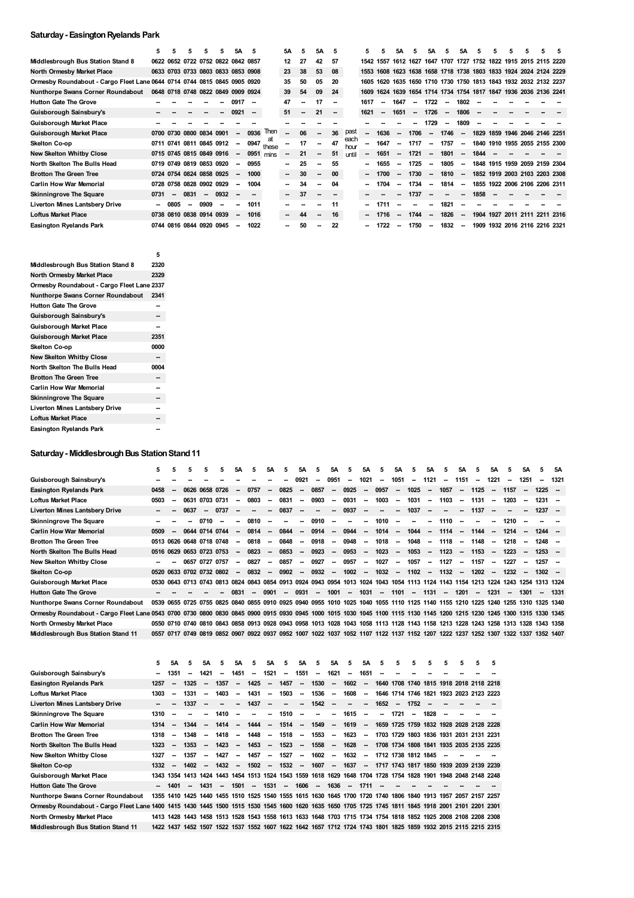## **Saturday- EasingtonRyelands Park**

|                                                                          | 5      | 5                        | 5      | 5                                  | 5      | 5A                       | 5                        |             | 5Α                       | 5                        | 5Α                       | 5      |              | 5.     | 5                        | 5Α                       | 5    | 5Α                       | 5                        | 5Α                       | 5                        | 5 | 5. | 5                   |                                                             |  |
|--------------------------------------------------------------------------|--------|--------------------------|--------|------------------------------------|--------|--------------------------|--------------------------|-------------|--------------------------|--------------------------|--------------------------|--------|--------------|--------|--------------------------|--------------------------|------|--------------------------|--------------------------|--------------------------|--------------------------|---|----|---------------------|-------------------------------------------------------------|--|
| Middlesbrough Bus Station Stand 8                                        |        |                          |        | 0622 0652 0722 0752 0822 0842 0857 |        |                          |                          |             | 12                       | 27                       | 42                       | 57     |              | 1542   | 1557                     |                          |      |                          |                          |                          |                          |   |    |                     | 1612 1627 1647 1707 1727 1752 1822 1915 2015 2115 2220      |  |
| North Ormesby Market Place                                               |        |                          |        | 0633 0703 0733 0803 0833 0853 0908 |        |                          |                          |             | 23                       | 38                       | 53                       | 08     |              | 1553   | 1608                     |                          |      |                          |                          |                          |                          |   |    |                     | 1623 1638 1658 1718 1738 1803 1833 1924 2024 2124 2229      |  |
| Ormesby Roundabout - Cargo Fleet Lane 0644 0714 0744 0815 0845 0905 0920 |        |                          |        |                                    |        |                          |                          |             | 35                       | 50                       | 05                       | 20     |              | 1605   | 1620                     |                          |      |                          |                          |                          |                          |   |    |                     | 1635 1650 1710 1730 1750 1813 1843 1932 2032 2132 2237      |  |
| <b>Nunthorpe Swans Corner Roundabout</b>                                 |        |                          |        | 0648 0718 0748 0822 0849 0909 0924 |        |                          |                          |             | 39                       | 54                       | 09                       | 24     |              | 1609   |                          |                          |      |                          |                          |                          |                          |   |    |                     | 1624 1639 1654 1714 1734 1754 1817 1847 1936 2036 2136 2241 |  |
| <b>Hutton Gate The Grove</b>                                             |        |                          |        |                                    |        | 0917                     | -                        |             | 47                       | --                       | 17                       | $\sim$ |              | 1617   | $\overline{\phantom{a}}$ | 1647                     | --   | 1722                     | $\sim$                   | 1802                     |                          |   |    |                     |                                                             |  |
| Guisborough Sainsbury's                                                  |        |                          |        |                                    |        | 0921                     | $\overline{\phantom{a}}$ |             | 51                       | $\overline{\phantom{a}}$ | 21                       | $\sim$ |              | 1621   | $\overline{\phantom{a}}$ | 1651                     | --   | 1726                     | $\overline{\phantom{a}}$ | 1806                     | $\overline{\phantom{a}}$ |   |    |                     |                                                             |  |
| <b>Guisborough Market Place</b>                                          |        |                          |        |                                    |        |                          |                          |             |                          |                          |                          |        |              |        |                          |                          |      | 1729                     | $\overline{\phantom{a}}$ | 1809                     |                          |   |    |                     |                                                             |  |
| <b>Guisborough Market Place</b>                                          | 0700   |                          |        | 0730 0800 0834 0901                |        |                          | 0936                     | Then        |                          | 06                       | --                       | 36     | past         |        | 1636                     |                          | 1706 |                          | 1746                     | $\overline{\phantom{a}}$ |                          |   |    |                     | 1829 1859 1946 2046 2146 2251                               |  |
| Skelton Co-op                                                            |        |                          |        | 0711 0741 0811 0845 0912           |        | $\sim$                   | 0947                     | at<br>these | $\sim$                   | 17                       | $\sim$                   | 47     | each<br>hour |        | 1647                     | $\overline{\phantom{a}}$ | 1717 | $\overline{\phantom{a}}$ | 1757                     | $\overline{\phantom{a}}$ |                          |   |    |                     | 1840 1910 1955 2055 2155 2300                               |  |
| <b>New Skelton Whitby Close</b>                                          |        |                          |        | 0715 0745 0815 0849 0916           |        | $\overline{\phantom{a}}$ | 0951                     | mins        | $\sim$                   | 21                       | --                       | 51     | until        | $\sim$ | 1651                     | $\overline{\phantom{a}}$ | 1721 |                          | 1801                     | $\overline{\phantom{a}}$ | 1844                     |   |    |                     |                                                             |  |
| North Skelton The Bulls Head                                             |        |                          |        | 0719 0749 0819 0853 0920           |        | $\overline{\phantom{a}}$ | 0955                     |             | $\sim$                   | 25                       | $\sim$                   | 55     |              | -      | 1655                     | -                        | 1725 | $\sim$                   | 1805                     | $\sim$                   |                          |   |    |                     | 1848 1915 1959 2059 2159 2304                               |  |
| <b>Brotton The Green Tree</b>                                            |        |                          |        | 0724 0754 0824 0858 0925           |        | $\overline{\phantom{a}}$ | 1000                     |             | $\sim$                   | 30                       | $\overline{\phantom{a}}$ | 00     |              | $\sim$ | 1700                     | $\overline{\phantom{a}}$ | 1730 | $\sim$                   | 1810                     | $\overline{\phantom{a}}$ |                          |   |    |                     | 1852 1919 2003 2103 2203 2308                               |  |
| <b>Carlin How War Memorial</b>                                           |        |                          |        | 0728 0758 0828 0902 0929           |        |                          | 1004                     |             | $\sim$                   | 34                       | $\overline{\phantom{a}}$ | 04     |              |        | 1704                     |                          | 1734 | $\overline{\phantom{a}}$ | 1814                     | $\overline{\phantom{a}}$ |                          |   |    |                     | 1855 1922 2006 2106 2206 2311                               |  |
| <b>Skinningrove The Square</b>                                           | 0731   | $\overline{\phantom{a}}$ | 0831   | $\overline{\phantom{a}}$           | 0932   | $\overline{\phantom{a}}$ |                          |             | $\overline{\phantom{a}}$ | 37                       | $\sim$                   |        |              |        |                          |                          | 1737 | $\overline{\phantom{a}}$ | --                       | $\overline{\phantom{a}}$ | 1858                     |   |    |                     |                                                             |  |
| <b>Liverton Mines Lantsbery Drive</b>                                    | $\sim$ | 0805                     | $\sim$ | 0909                               | $\sim$ |                          | 1011                     |             |                          |                          |                          | 11     |              |        | 1711                     |                          |      |                          | 1821                     | --                       |                          |   |    |                     |                                                             |  |
| <b>Loftus Market Place</b>                                               |        |                          |        | 0738 0810 0838 0914 0939           |        | $\overline{\phantom{a}}$ | 1016                     |             | $\overline{\phantom{a}}$ | 44                       | --                       | 16     |              |        | 1716                     | --                       | 1744 | $\overline{\phantom{a}}$ | 1826                     | $\overline{\phantom{a}}$ |                          |   |    | 1904 1927 2011 2111 | 2211 2316                                                   |  |
| <b>Easington Ryelands Park</b>                                           |        |                          |        | 0744 0816 0844 0920 0945           |        |                          | 1022                     |             |                          | 50                       | --                       | 22     |              |        | 1722                     |                          | 1750 | $\sim$                   | 1832                     | $\sim$                   |                          |   |    |                     | 1909 1932 2016 2116 2216 2321                               |  |

|                                            | 5    |
|--------------------------------------------|------|
| Middlesbrough Bus Station Stand 8          | 2320 |
| North Ormesby Market Place                 | 2329 |
| Ormesby Roundabout - Cargo Fleet Lane 2337 |      |
| <b>Nunthorpe Swans Corner Roundabout</b>   | 2341 |
| <b>Hutton Gate The Grove</b>               |      |
| Guisborough Sainsbury's                    |      |
| Guisborough Market Place                   |      |
| Guisborough Market Place                   | 2351 |
| Skelton Co-op                              | 0000 |
| New Skelton Whitby Close                   |      |
| North Skelton The Bulls Head               | 0004 |
| <b>Brotton The Green Tree</b>              |      |
| <b>Carlin How War Memorial</b>             |      |
| <b>Skinningrove The Square</b>             | --   |
| <b>Liverton Mines Lantsbery Drive</b>      |      |
| <b>Loftus Market Place</b>                 |      |
| <b>Easington Ryelands Park</b>             |      |

# **Saturday - Middlesbrough Bus Station Stand 11**

|                                                                                                                                                                         | 5      | 5 | 5                        | 5              | 5                        | 5A                       | 5                        | <b>5A</b>                | 5                        | 5A                       | 5                        | <b>5A</b>                | -5                       | 5A                       | -5     | <b>5A</b>                | 5                                                                                                                                 | <b>5A</b> | 5                        | <b>5A</b>                | 5      | 5Α     | 5      | <b>5A</b>                | 5.       | 5Α      |
|-------------------------------------------------------------------------------------------------------------------------------------------------------------------------|--------|---|--------------------------|----------------|--------------------------|--------------------------|--------------------------|--------------------------|--------------------------|--------------------------|--------------------------|--------------------------|--------------------------|--------------------------|--------|--------------------------|-----------------------------------------------------------------------------------------------------------------------------------|-----------|--------------------------|--------------------------|--------|--------|--------|--------------------------|----------|---------|
| Guisborough Sainsbury's                                                                                                                                                 |        |   |                          |                |                          |                          |                          |                          | -                        | 0921                     | -                        | 0951                     | $\overline{\phantom{a}}$ | 1021                     | -      | 1051                     | $\overline{\phantom{a}}$                                                                                                          | 1121      | --                       | 1151                     | $\sim$ | 1221   | -      | 1251                     | -        | 1321    |
| Easington Ryelands Park                                                                                                                                                 | 0458   |   |                          | 0626 0658 0726 |                          |                          | 0757                     | -                        | 0825                     |                          | 0857                     | $\overline{\phantom{a}}$ | 0925                     | $\overline{\phantom{a}}$ | 0957   | $\overline{\phantom{a}}$ | 1025                                                                                                                              | $\sim$    | 1057                     | $\overline{\phantom{a}}$ | 1125   | $\sim$ | 1157   |                          | $1225 -$ |         |
| Loftus Market Place                                                                                                                                                     | 0503   |   | 0631                     | 0703 0731      |                          |                          | 0803                     | $\overline{\phantom{a}}$ | 0831                     | -                        | 0903                     | $\overline{\phantom{a}}$ | 0931                     | $\overline{\phantom{a}}$ | 1003   | $\overline{\phantom{a}}$ | 1031                                                                                                                              | $\sim$    | 1103                     | $\sim$                   | 1131   | $\sim$ | 1203   |                          | 1231     |         |
| Liverton Mines Lantsbery Drive                                                                                                                                          | $\sim$ |   | 0637                     | $\sim$         | 0737                     | -                        | -                        | $\overline{\phantom{a}}$ | 0837                     | $\overline{\phantom{a}}$ | $\overline{\phantom{a}}$ | $\overline{\phantom{a}}$ | 0937                     | $\overline{\phantom{a}}$ | -      | $\overline{\phantom{a}}$ | 1037                                                                                                                              | $\sim$    | $\overline{\phantom{a}}$ | $\sim$                   | 1137   | --     |        | $\overline{\phantom{a}}$ | $1237 -$ |         |
| Skinningrove The Square                                                                                                                                                 |        |   |                          | 0710           | $\overline{\phantom{a}}$ |                          | 0810                     | $\overline{\phantom{a}}$ | $\overline{\phantom{a}}$ | $\overline{\phantom{a}}$ | 0910                     | $\overline{\phantom{a}}$ | $\overline{\phantom{a}}$ | $\overline{\phantom{a}}$ | 1010   | $\overline{\phantom{a}}$ | $\overline{\phantom{a}}$                                                                                                          | $\sim$    | 1110                     | $\sim$                   | $\sim$ | $\sim$ | 1210   |                          |          |         |
| <b>Carlin How War Memorial</b>                                                                                                                                          | 0509   |   |                          | 0644 0714 0744 |                          | $\overline{\phantom{a}}$ | 0814                     | $\overline{\phantom{a}}$ | 0844                     | $\sim$                   | 0914                     | $\sim$                   | 0944                     | $\sim$                   | 1014   | $\sim$                   | 1044                                                                                                                              | $\sim$    | 1114                     | $\sim$                   | 1144   | $\sim$ | 1214   | $\overline{\phantom{a}}$ | $1244 -$ |         |
| <b>Brotton The Green Tree</b>                                                                                                                                           |        |   | 0513 0626 0648 0718 0748 |                |                          | $\overline{\phantom{a}}$ | 0818                     | $\overline{\phantom{a}}$ | 0848                     | $\sim$                   | 0918                     | $\overline{\phantom{a}}$ | 0948                     | $\overline{\phantom{a}}$ | 1018   | $\overline{\phantom{a}}$ | 1048                                                                                                                              | $\sim$    | 1118                     | $\sim$                   | 1148   | --     | 1218   | $\overline{\phantom{a}}$ | $1248 -$ |         |
| North Skelton The Bulls Head                                                                                                                                            |        |   | 0516 0629 0653 0723 0753 |                |                          |                          | 0823                     | $\overline{\phantom{a}}$ | 0853                     | $\overline{\phantom{a}}$ | 0923                     | $\overline{\phantom{a}}$ | 0953                     | $\sim$                   | 1023   | $\overline{\phantom{a}}$ | 1053                                                                                                                              | $\sim$    | 1123                     | $\sim$                   | 1153   | $\sim$ | 1223   |                          | $1253 -$ |         |
| New Skelton Whitby Close                                                                                                                                                | $\sim$ |   |                          | 0657 0727 0757 |                          | $\overline{\phantom{a}}$ | 0827                     | $\overline{\phantom{a}}$ | 0857                     | $\sim$                   | 0927                     | $\overline{\phantom{a}}$ | 0957                     | $\sim$                   | 1027   | $\overline{\phantom{a}}$ | 1057                                                                                                                              | $\sim$    | 1127                     | $\overline{\phantom{a}}$ | 1157   | $\sim$ | 1227   | $\overline{\phantom{a}}$ | $1257 -$ |         |
| Skelton Co-op                                                                                                                                                           |        |   | 0520 0633 0702 0732 0802 |                |                          | $\sim$                   | 0832                     | $\sim$                   | 0902                     |                          | $-0932$                  | $\sim$                   | 1002                     | $\sim$                   | 1032   |                          | $-1102$                                                                                                                           |           | $-1132$                  | $\sim$                   | 1202   | $\sim$ | 1232   | $\overline{\phantom{a}}$ | $1302 -$ |         |
| Guisborough Market Place                                                                                                                                                |        |   |                          |                |                          |                          |                          |                          |                          |                          |                          |                          |                          |                          |        |                          | 0530 0643 0713 0743 0813 0824 0843 0854 0913 0924 0943 0954 1013 1024 1043 1054 1113 1124 1143 1154 1213 1224 1243 1254 1313 1324 |           |                          |                          |        |        |        |                          |          |         |
| <b>Hutton Gate The Grove</b>                                                                                                                                            |        |   |                          |                |                          | 0831                     | $\overline{\phantom{a}}$ | 0901                     | $\sim$                   | 0931                     | $\sim$                   | 1001                     |                          | $- 1031$                 | $\sim$ | 1101                     |                                                                                                                                   | $-1131$   | $\sim$                   | 1201                     | $\sim$ | 1231   | $\sim$ | 1301                     |          | -- 1331 |
| Nunthorpe Swans Corner Roundabout                                                                                                                                       |        |   |                          |                |                          |                          |                          |                          |                          |                          |                          |                          |                          |                          |        |                          | 0539 0655 0725 0755 0825 0840 0855 0910 0925 0940 0955 1010 1025 1040 1055 1110 1125 1140 1155 1210 1225 1240 1255 1310 1325 1340 |           |                          |                          |        |        |        |                          |          |         |
| Ormesby Roundabout - Cargo Fleet Lane 0543 0700 0730 0800 0830 0845 0900 0915 0930 0945 1000 1015 1030 1045 1100 1115 1130 1145 1200 1215 1230 1245 1300 1315 1330 1345 |        |   |                          |                |                          |                          |                          |                          |                          |                          |                          |                          |                          |                          |        |                          |                                                                                                                                   |           |                          |                          |        |        |        |                          |          |         |
| North Ormesby Market Place                                                                                                                                              |        |   |                          |                |                          |                          |                          |                          |                          |                          |                          |                          |                          |                          |        |                          | 0550 0710 0740 0810 0843 0858 0913 0928 0943 0958 1013 1028 1043 1058 1113 1128 1143 1158 1213 1228 1243 1258 1313 1328 1343 1358 |           |                          |                          |        |        |        |                          |          |         |
| Middlesbrough Bus Station Stand 11                                                                                                                                      |        |   |                          |                |                          |                          |                          |                          |                          |                          |                          |                          |                          |                          |        |                          | 0557 0717 0749 0819 0852 0907 0922 0937 0952 1007 1022 1037 1052 1107 1122 1137 1152 1207 1222 1237 1252 1307 1322 1337 1352 1407 |           |                          |                          |        |        |        |                          |          |         |
|                                                                                                                                                                         |        |   |                          |                |                          |                          |                          |                          |                          |                          |                          |                          |                          |                          |        |                          |                                                                                                                                   |           |                          |                          |        |        |        |                          |          |         |

|                                                                                                                                                     | 5    | <b>5A</b>                | 5                        | 5А                       | 5                        | 5A                       | 5.     | <b>5A</b>                | 5        | <b>5A</b>                | 5                        | <b>5A</b>                | 5                        | <b>5A</b>                | 5                        | 5      | 5      | 5                                                                                                             | 5                        | 5 | 5 | 5                                                                                                   |
|-----------------------------------------------------------------------------------------------------------------------------------------------------|------|--------------------------|--------------------------|--------------------------|--------------------------|--------------------------|--------|--------------------------|----------|--------------------------|--------------------------|--------------------------|--------------------------|--------------------------|--------------------------|--------|--------|---------------------------------------------------------------------------------------------------------------|--------------------------|---|---|-----------------------------------------------------------------------------------------------------|
| Guisborough Sainsbury's                                                                                                                             |      | 1351                     | $\overline{\phantom{a}}$ | 1421                     | --                       | 1451                     | -      | 1521                     | -        | 1551                     | -                        | 1621                     | -                        | 1651                     |                          |        |        |                                                                                                               |                          |   |   |                                                                                                     |
| <b>Easington Ryelands Park</b>                                                                                                                      | 1257 | --                       | 1325                     |                          | 1357                     | -                        | 1425   | -                        | 1457     | -                        | 1530                     | $\overline{\phantom{a}}$ | 1602                     | $\overline{\phantom{a}}$ | 1640                     |        |        |                                                                                                               |                          |   |   | 1708 1740 1815 1918 2018 2118 2218                                                                  |
| <b>Loftus Market Place</b>                                                                                                                          | 1303 | --                       | 1331                     | $\overline{\phantom{a}}$ | 1403                     | $\overline{\phantom{a}}$ | 1431   | $\overline{\phantom{a}}$ | 1503     | $\overline{\phantom{a}}$ | 1536                     | $\overline{\phantom{a}}$ | 1608                     | $\overline{\phantom{a}}$ |                          |        |        | 1646 1714 1746 1821 1923 2023 2123 2223                                                                       |                          |   |   |                                                                                                     |
| <b>Liverton Mines Lantsbery Drive</b>                                                                                                               |      |                          | 1337                     |                          | $\overline{\phantom{a}}$ | $\sim$                   | 1437   | $\sim$                   | -        | $\sim$                   | $1542 -$                 |                          | -                        | $\overline{\phantom{a}}$ | 1652                     | $\sim$ | 1752   | - -                                                                                                           |                          |   |   |                                                                                                     |
| <b>Skinningrove The Square</b>                                                                                                                      | 1310 | --                       |                          | $\overline{\phantom{a}}$ | 1410                     | $\overline{\phantom{a}}$ | $\sim$ | $\sim$                   | 1510     | $\overline{\phantom{a}}$ | $\overline{\phantom{a}}$ | $\sim$                   | 1615                     | $\overline{\phantom{a}}$ | $\overline{\phantom{a}}$ | 1721   | $\sim$ | 1828                                                                                                          | $\overline{\phantom{a}}$ |   |   |                                                                                                     |
| <b>Carlin How War Memorial</b>                                                                                                                      | 1314 |                          | 1344                     |                          | 1414                     | $\sim$                   | 1444   | $\sim$                   | 1514     | $\overline{\phantom{a}}$ | 1549                     | $\sim$                   | 1619                     | $\sim$                   |                          |        |        | 1659 1725 1759 1832 1928 2028 2128 2228                                                                       |                          |   |   |                                                                                                     |
| <b>Brotton The Green Tree</b>                                                                                                                       | 1318 | --                       | 1348                     | --                       | 1418                     | $\overline{\phantom{a}}$ | 1448   | $\overline{\phantom{a}}$ | 1518     | $\overline{\phantom{a}}$ | 1553                     | $\overline{\phantom{a}}$ | 1623                     | $\overline{\phantom{a}}$ |                          |        |        | 1703 1729 1803 1836 1931 2031 2131 2231                                                                       |                          |   |   |                                                                                                     |
| North Skelton The Bulls Head                                                                                                                        | 1323 | $\overline{\phantom{a}}$ | 1353                     | $\sim$                   | 1423                     | $\sim$                   | 1453   | $\sim$                   | 1523     | $\overline{\phantom{a}}$ | 1558                     | $\overline{\phantom{a}}$ | 1628                     | $\overline{\phantom{a}}$ |                          |        |        |                                                                                                               |                          |   |   | 1708 1734 1808 1841 1935 2035 2135 2235                                                             |
| <b>New Skelton Whitby Close</b>                                                                                                                     | 1327 | $\overline{\phantom{a}}$ | 1357                     | $\sim$                   | 1427                     | $\sim$                   | 1457   | $\sim$                   | 1527     | $\sim$                   | 1602                     | $\sim$                   | 1632                     | $\sim$                   |                          |        |        | 1712 1738 1812 1845                                                                                           | $\sim$                   |   |   |                                                                                                     |
| <b>Skelton Co-op</b>                                                                                                                                | 1332 | $\overline{\phantom{a}}$ | 1402                     | $\sim$                   | 1432                     | $\sim$                   | 1502   | $\sim$                   | $1532 -$ |                          | 1607                     | $\sim$                   | 1637                     | $\sim$                   |                          |        |        | 1717 1743 1817 1850 1939 2039 2139 2239                                                                       |                          |   |   |                                                                                                     |
| <b>Guisborough Market Place</b>                                                                                                                     |      |                          |                          |                          |                          |                          |        |                          |          |                          |                          |                          |                          |                          |                          |        |        | 1343 1354 1413 1424 1443 1454 1513 1524 1543 1559 1618 1629 1648 1704 1728 1754 1828 1901 1948 2048 2148 2248 |                          |   |   |                                                                                                     |
| <b>Hutton Gate The Grove</b>                                                                                                                        |      | 1401                     |                          | 1431                     | $\sim$                   | 1501                     | $\sim$ | 1531                     | -        | 1606                     | $\overline{\phantom{a}}$ | 1636                     | $\overline{\phantom{a}}$ | 1711                     |                          |        |        |                                                                                                               |                          |   |   |                                                                                                     |
| <b>Nunthorpe Swans Corner Roundabout</b>                                                                                                            |      |                          |                          |                          |                          |                          |        |                          |          |                          |                          |                          |                          |                          |                          |        |        | 1355 1410 1425 1440 1455 1510 1525 1540 1555 1615 1630 1645 1700 1720 1740 1806 1840 1913 1957 2057 2157 2257 |                          |   |   |                                                                                                     |
| Ormesby Roundabout - Cargo Fleet Lane 1400 1415 1430 1445 1500 1515 1530 1545 1600 1620 1635 1650 1705 1725 1745 1811 1845 1918 2001 2101 2201 2301 |      |                          |                          |                          |                          |                          |        |                          |          |                          |                          |                          |                          |                          |                          |        |        |                                                                                                               |                          |   |   |                                                                                                     |
| North Ormesby Market Place                                                                                                                          |      |                          |                          |                          |                          |                          |        |                          |          |                          |                          |                          |                          |                          |                          |        |        | 1413 1428 1443 1458 1513 1528 1543 1558 1613 1633 1648 1703 1715 1734 1754 1818 1852 1925 2008 2108 2208 2308 |                          |   |   |                                                                                                     |
| Middlesbrough Bus Station Stand 11                                                                                                                  |      | 1422 1437                |                          |                          |                          |                          |        |                          |          |                          |                          |                          |                          |                          |                          |        |        |                                                                                                               |                          |   |   | 1452 1507 1522 1537 1552 1607 1622 1642 1657 1712 1724 1743 1801 1825 1859 1932 2015 2115 2215 2315 |